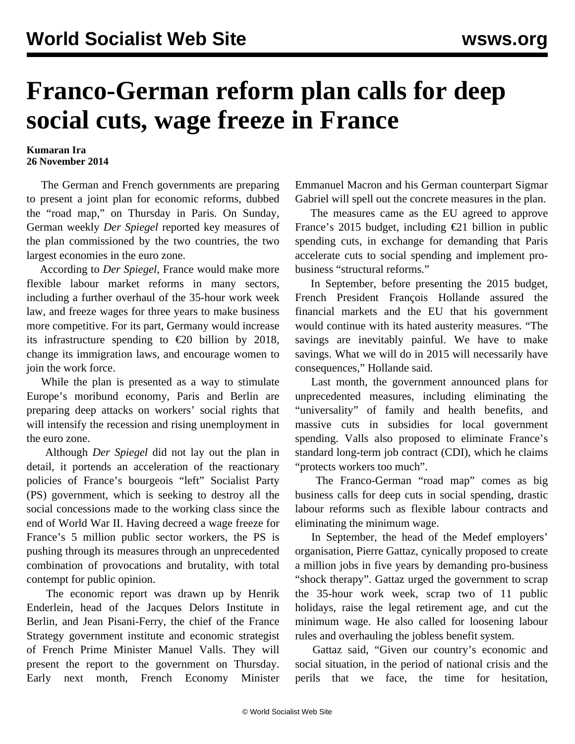## **Franco-German reform plan calls for deep social cuts, wage freeze in France**

## **Kumaran Ira 26 November 2014**

 The German and French governments are preparing to present a joint plan for economic reforms, dubbed the "road map," on Thursday in Paris. On Sunday, German weekly *Der Spiegel* reported key measures of the plan commissioned by the two countries, the two largest economies in the euro zone.

 According to *Der Spiegel*, France would make more flexible labour market reforms in many sectors, including a further overhaul of the 35-hour work week law, and freeze wages for three years to make business more competitive. For its part, Germany would increase its infrastructure spending to  $\epsilon$ 20 billion by 2018, change its immigration laws, and encourage women to join the work force.

 While the plan is presented as a way to stimulate Europe's moribund economy, Paris and Berlin are preparing deep attacks on workers' social rights that will intensify the recession and rising unemployment in the euro zone.

 Although *Der Spiegel* did not lay out the plan in detail, it portends an acceleration of the reactionary policies of France's bourgeois "left" Socialist Party (PS) government, which is seeking to destroy all the social concessions made to the working class since the end of World War II. Having decreed a wage freeze for France's 5 million public sector workers, the PS is pushing through its measures through an unprecedented combination of provocations and brutality, with total contempt for public opinion.

 The economic report was drawn up by Henrik Enderlein, head of the Jacques Delors Institute in Berlin, and Jean Pisani-Ferry, the chief of the France Strategy government institute and economic strategist of French Prime Minister Manuel Valls. They will present the report to the government on Thursday. Early next month, French Economy Minister

Emmanuel Macron and his German counterpart Sigmar Gabriel will spell out the concrete measures in the plan.

 The measures came as the EU agreed to approve France's 2015 budget, including €21 billion in public spending cuts, in exchange for demanding that Paris accelerate cuts to social spending and implement probusiness "structural reforms."

 In September, before presenting the 2015 budget, French President François Hollande assured the financial markets and the EU that his government would continue with its hated austerity measures. "The savings are inevitably painful. We have to make savings. What we will do in 2015 will necessarily have consequences," Hollande said.

 Last month, the government announced plans for unprecedented measures, including eliminating the "universality" of family and health benefits, and massive cuts in subsidies for local government spending. Valls also proposed to eliminate France's standard long-term job contract (CDI), which he claims "protects workers too much".

 The Franco-German "road map" comes as big business calls for deep cuts in social spending, drastic labour reforms such as flexible labour contracts and eliminating the minimum wage.

 In September, the head of the Medef employers' organisation, Pierre Gattaz, cynically proposed to create a million jobs in five years by demanding pro-business "shock therapy". Gattaz urged the government to scrap the 35-hour work week, scrap two of 11 public holidays, raise the legal retirement age, and cut the minimum wage. He also called for loosening labour rules and overhauling the jobless benefit system.

 Gattaz said, "Given our country's economic and social situation, in the period of national crisis and the perils that we face, the time for hesitation,